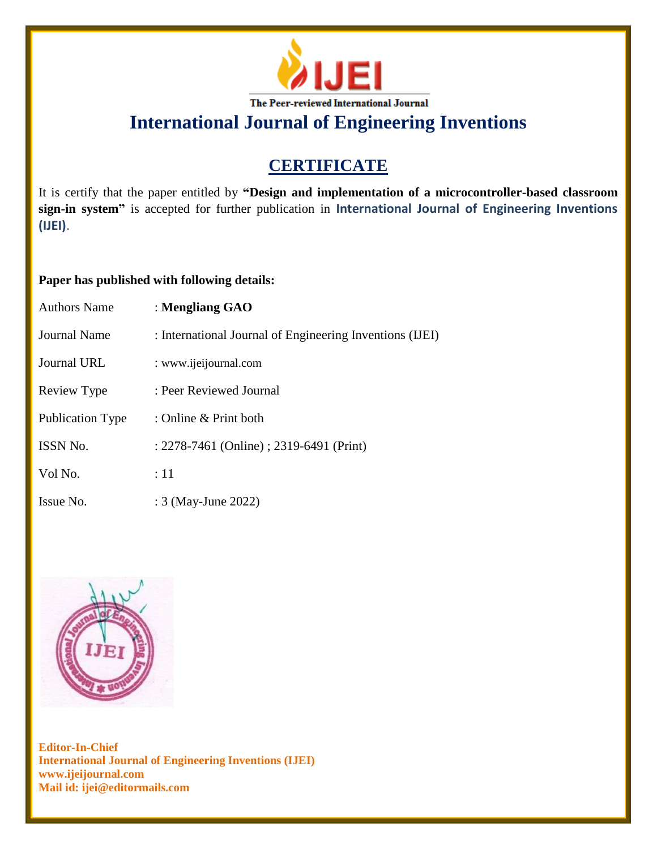

# **CERTIFICATE**

It is certify that the paper entitled by **"Design and implementation of a microcontroller-based classroom sign-in system"** is accepted for further publication in **International Journal of Engineering Inventions (IJEI)**.

### **Paper has published with following details:**

| <b>Authors Name</b>     | : Mengliang GAO                                          |
|-------------------------|----------------------------------------------------------|
| Journal Name            | : International Journal of Engineering Inventions (IJEI) |
| Journal URL             | : www.ijeijournal.com                                    |
| Review Type             | : Peer Reviewed Journal                                  |
| <b>Publication Type</b> | : Online & Print both                                    |
| <b>ISSN No.</b>         | : 2278-7461 (Online) ; 2319-6491 (Print)                 |
| Vol No.                 | $\div 11$                                                |
| Issue No.               | : 3 (May-June 2022)                                      |

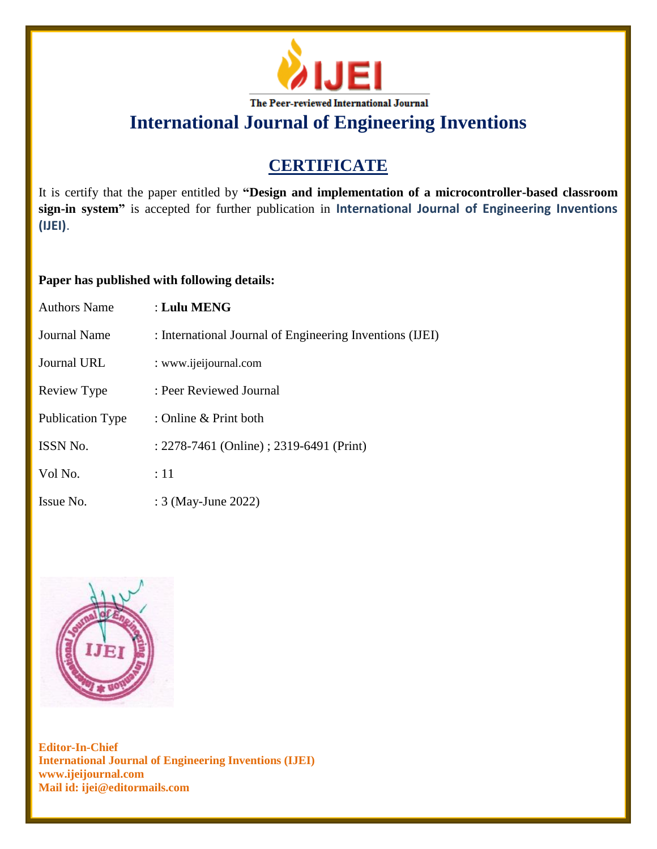

# **CERTIFICATE**

It is certify that the paper entitled by **"Design and implementation of a microcontroller-based classroom sign-in system"** is accepted for further publication in **International Journal of Engineering Inventions (IJEI)**.

### **Paper has published with following details:**

| <b>Authors Name</b>     | : Lulu MENG                                              |
|-------------------------|----------------------------------------------------------|
| Journal Name            | : International Journal of Engineering Inventions (IJEI) |
| Journal URL             | : www.ijeijournal.com                                    |
| Review Type             | : Peer Reviewed Journal                                  |
| <b>Publication Type</b> | : Online & Print both                                    |
| ISSN No.                | : 2278-7461 (Online) ; 2319-6491 (Print)                 |
| Vol No.                 | :11                                                      |
| Issue No.               | : 3 (May-June 2022)                                      |

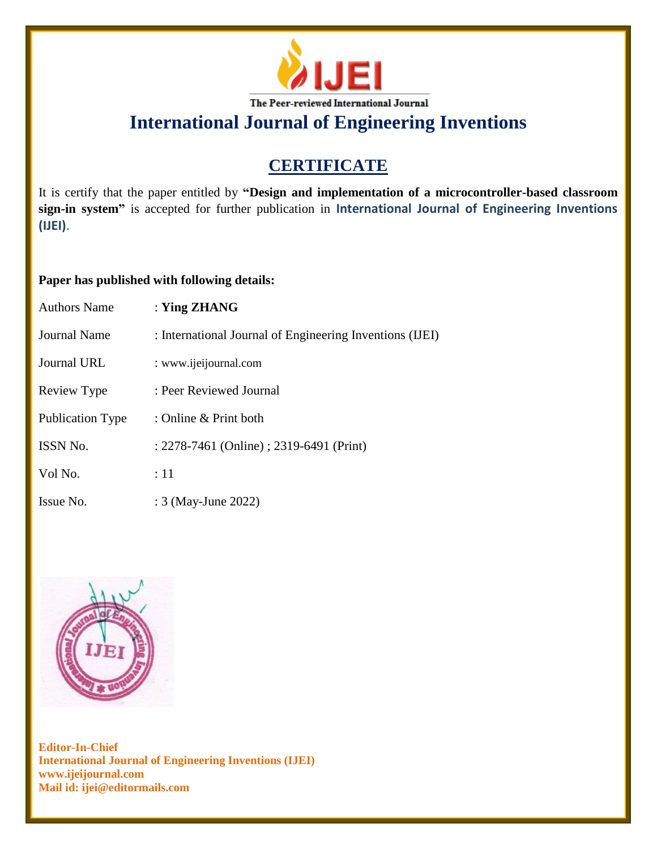

# **CERTIFICATE**

It is certify that the paper entitled by **"Design and implementation of a microcontroller-based classroom sign-in system"** is accepted for further publication in **International Journal of Engineering Inventions (IJEI)**.

### **Paper has published with following details:**

| <b>Authors Name</b> | : Ying $ZHANG$                                           |
|---------------------|----------------------------------------------------------|
| Journal Name        | : International Journal of Engineering Inventions (IJEI) |
| Journal URL         | : www.ijeijournal.com                                    |
| Review Type         | : Peer Reviewed Journal                                  |
| Publication Type    | : Online & Print both                                    |
| ISSN No.            | : 2278-7461 (Online) ; 2319-6491 (Print)                 |
| Vol No.             | :11                                                      |
| Issue No.           | : 3 (May-June 2022)                                      |

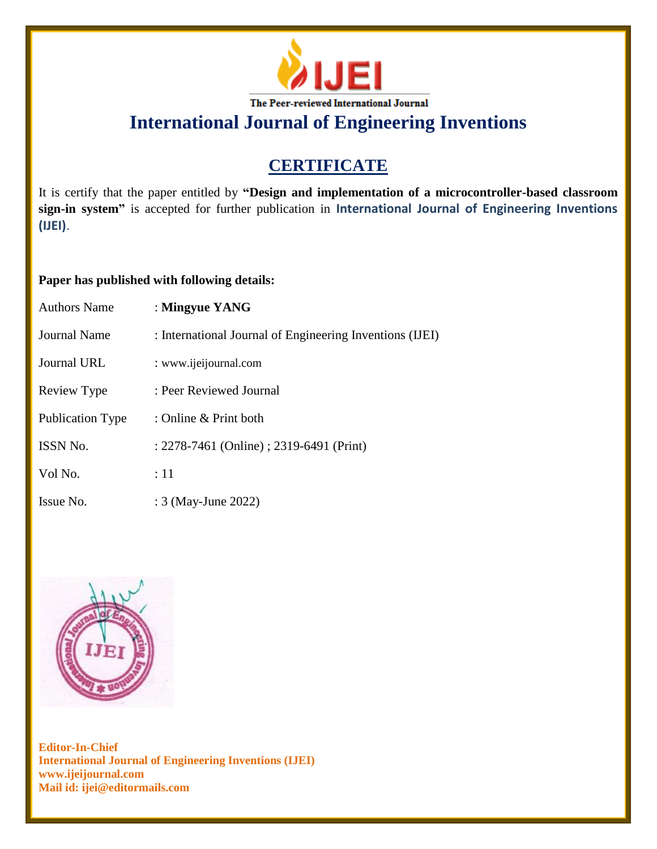

# **CERTIFICATE**

It is certify that the paper entitled by **"Design and implementation of a microcontroller-based classroom sign-in system"** is accepted for further publication in **International Journal of Engineering Inventions (IJEI)**.

### **Paper has published with following details:**

| <b>Authors Name</b> | : Mingyue YANG                                           |
|---------------------|----------------------------------------------------------|
| Journal Name        | : International Journal of Engineering Inventions (IJEI) |
| Journal URL         | : www.ijeijournal.com                                    |
| Review Type         | : Peer Reviewed Journal                                  |
| Publication Type    | : Online & Print both                                    |
| <b>ISSN No.</b>     | : 2278-7461 (Online) ; 2319-6491 (Print)                 |
| Vol No.             | :11                                                      |
| Issue No.           | : 3 (May-June 2022)                                      |

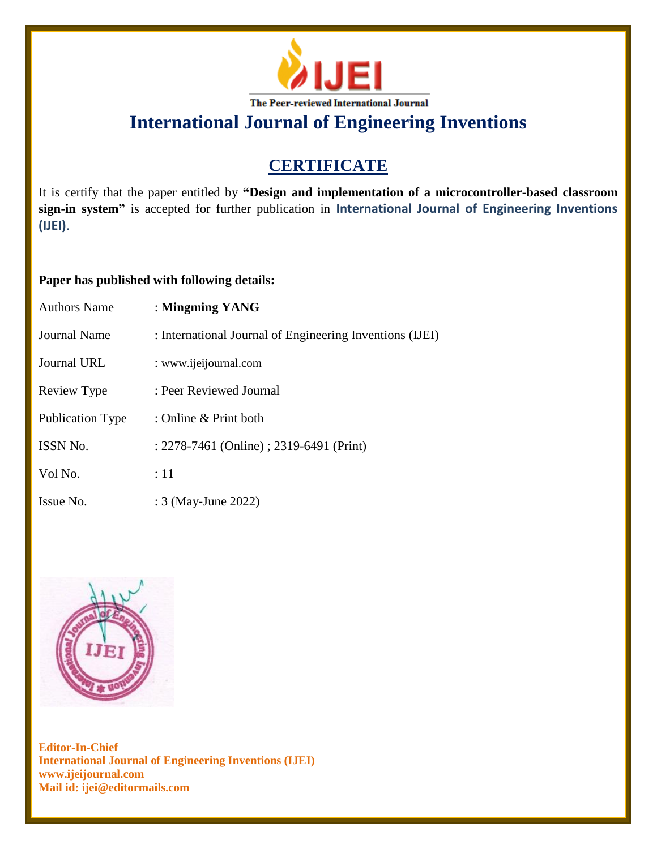

# **CERTIFICATE**

It is certify that the paper entitled by **"Design and implementation of a microcontroller-based classroom sign-in system"** is accepted for further publication in **International Journal of Engineering Inventions (IJEI)**.

### **Paper has published with following details:**

| <b>Authors Name</b> | : Mingming YANG                                          |
|---------------------|----------------------------------------------------------|
| Journal Name        | : International Journal of Engineering Inventions (IJEI) |
| <b>Journal URL</b>  | : www.ijeijournal.com                                    |
| Review Type         | : Peer Reviewed Journal                                  |
| Publication Type    | : Online $&$ Print both                                  |
| <b>ISSN No.</b>     | : 2278-7461 (Online) ; 2319-6491 (Print)                 |
| Vol No.             | :11                                                      |
| Issue No.           | : 3 (May-June 2022)                                      |

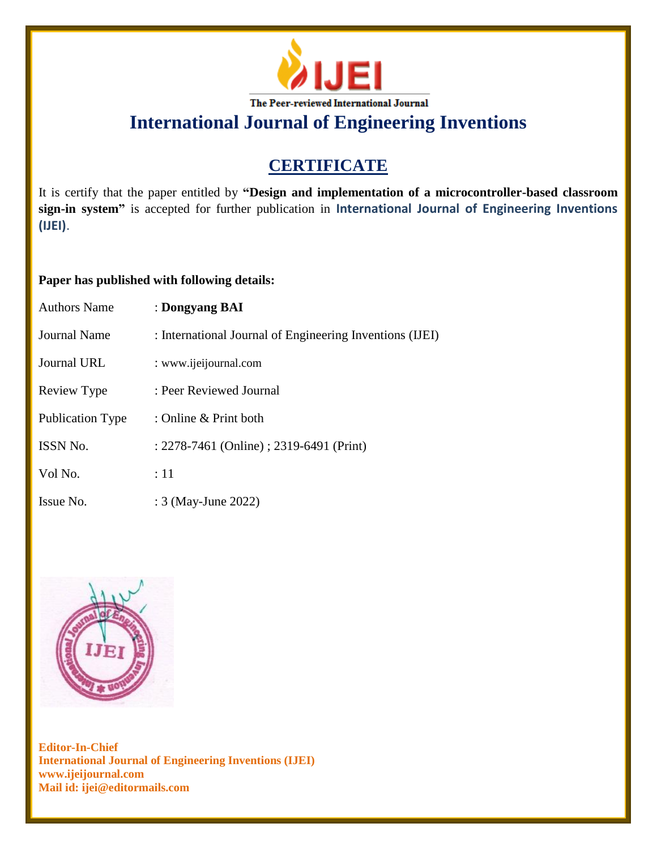

# **CERTIFICATE**

It is certify that the paper entitled by **"Design and implementation of a microcontroller-based classroom sign-in system"** is accepted for further publication in **International Journal of Engineering Inventions (IJEI)**.

### **Paper has published with following details:**

| <b>Authors Name</b> | : Dongyang BAI                                           |
|---------------------|----------------------------------------------------------|
| Journal Name        | : International Journal of Engineering Inventions (IJEI) |
| Journal URL         | : www.ijeijournal.com                                    |
| Review Type         | : Peer Reviewed Journal                                  |
| Publication Type    | : Online $&$ Print both                                  |
| <b>ISSN No.</b>     | : 2278-7461 (Online) ; 2319-6491 (Print)                 |
| Vol No.             | :11                                                      |
| Issue No.           | : 3 (May-June 2022)                                      |

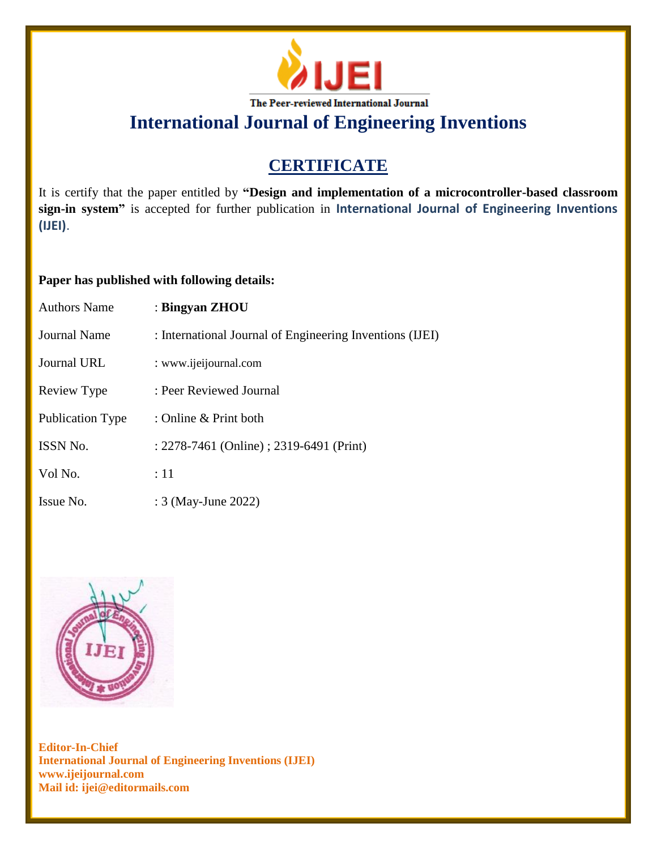

# **CERTIFICATE**

It is certify that the paper entitled by **"Design and implementation of a microcontroller-based classroom sign-in system"** is accepted for further publication in **International Journal of Engineering Inventions (IJEI)**.

### **Paper has published with following details:**

| <b>Authors Name</b> | : Bingyan ZHOU                                           |
|---------------------|----------------------------------------------------------|
| Journal Name        | : International Journal of Engineering Inventions (IJEI) |
| Journal URL         | : www.ijeijournal.com                                    |
| Review Type         | : Peer Reviewed Journal                                  |
| Publication Type    | : Online & Print both                                    |
| ISSN No.            | : 2278-7461 (Online) ; 2319-6491 (Print)                 |
| Vol No.             | :11                                                      |
| Issue No.           | : 3 (May-June 2022)                                      |